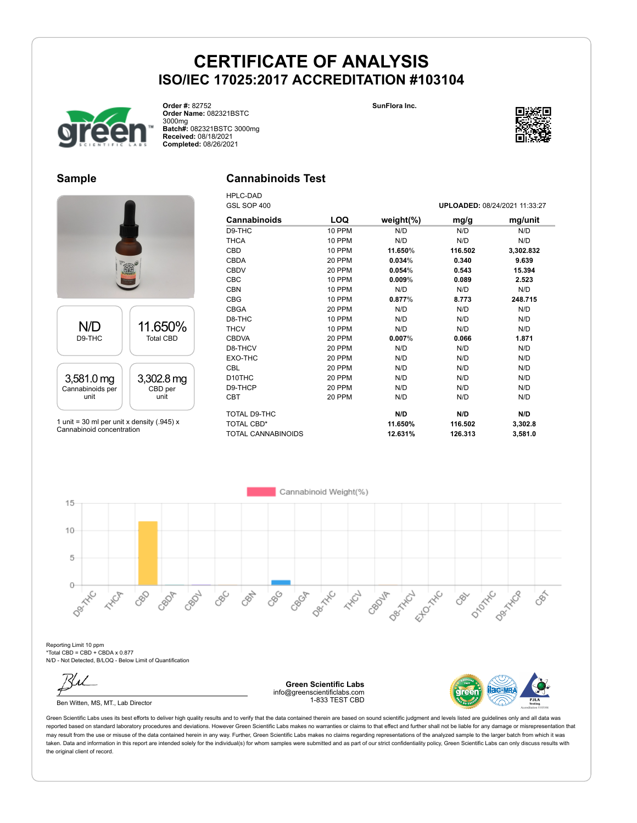



**Order #:** 82752 **Order Name:** 082321BSTC 3000mg **Batch#:** 082321BSTC 3000mg **Received:** 08/18/2021 **Completed:** 08/26/2021

### **Sample**

### **Cannabinoids Test** HPLC-DAD



1 unit = 30 ml per unit x density  $(.945)$  x Cannabinoid concentration

| GSL SOP 400               |               |               |         | UPLOADED: 08/24/2021 11:33:27 |
|---------------------------|---------------|---------------|---------|-------------------------------|
| <b>Cannabinoids</b>       | LOQ           | weight $(\%)$ | mg/g    | mg/unit                       |
| D9-THC                    | 10 PPM        | N/D           | N/D     | N/D                           |
| <b>THCA</b>               | 10 PPM        | N/D           | N/D     | N/D                           |
| CBD                       | <b>10 PPM</b> | 11.650%       | 116.502 | 3,302.832                     |
| <b>CBDA</b>               | 20 PPM        | 0.034%        | 0.340   | 9.639                         |
| <b>CBDV</b>               | 20 PPM        | 0.054%        | 0.543   | 15.394                        |
| <b>CBC</b>                | 10 PPM        | $0.009\%$     | 0.089   | 2.523                         |
| <b>CBN</b>                | 10 PPM        | N/D           | N/D     | N/D                           |
| <b>CBG</b>                | 10 PPM        | 0.877%        | 8.773   | 248.715                       |
| <b>CBGA</b>               | 20 PPM        | N/D           | N/D     | N/D                           |
| D8-THC                    | 10 PPM        | N/D           | N/D     | N/D                           |
| <b>THCV</b>               | 10 PPM        | N/D           | N/D     | N/D                           |
| <b>CBDVA</b>              | 20 PPM        | 0.007%        | 0.066   | 1.871                         |
| D8-THCV                   | 20 PPM        | N/D           | N/D     | N/D                           |
| EXO-THC                   | 20 PPM        | N/D           | N/D     | N/D                           |
| <b>CBL</b>                | 20 PPM        | N/D           | N/D     | N/D                           |
| D <sub>10</sub> THC       | 20 PPM        | N/D           | N/D     | N/D                           |
| D9-THCP                   | 20 PPM        | N/D           | N/D     | N/D                           |
| <b>CBT</b>                | 20 PPM        | N/D           | N/D     | N/D                           |
| TOTAL D9-THC              |               | N/D           | N/D     | N/D                           |
| TOTAL CBD*                |               | 11.650%       | 116.502 | 3,302.8                       |
| <b>TOTAL CANNABINOIDS</b> |               | 12.631%       | 126.313 | 3,581.0                       |

Cannabinoid Weight(%)  $15$  $10$ 5  $\circ$ Dec Tric Desired D<sub>ROTATIC</sub> Dex Hic CBC CRAY CBC CBOF Ellowski Dentron CRO2L **HARCH** CBOJF **HIVER** 880 CBOT CEN  $\mathcal{S}^{\sim}$ 

Reporting Limit 10 ppm \*Total CBD = CBD + CBDA x 0.877 N/D - Not Detected, B/LOQ - Below Limit of Quantification

Ben Witten, MS, MT., Lab Director

**Green Scientific Labs** info@greenscientificlabs.com 1-833 TEST CBD



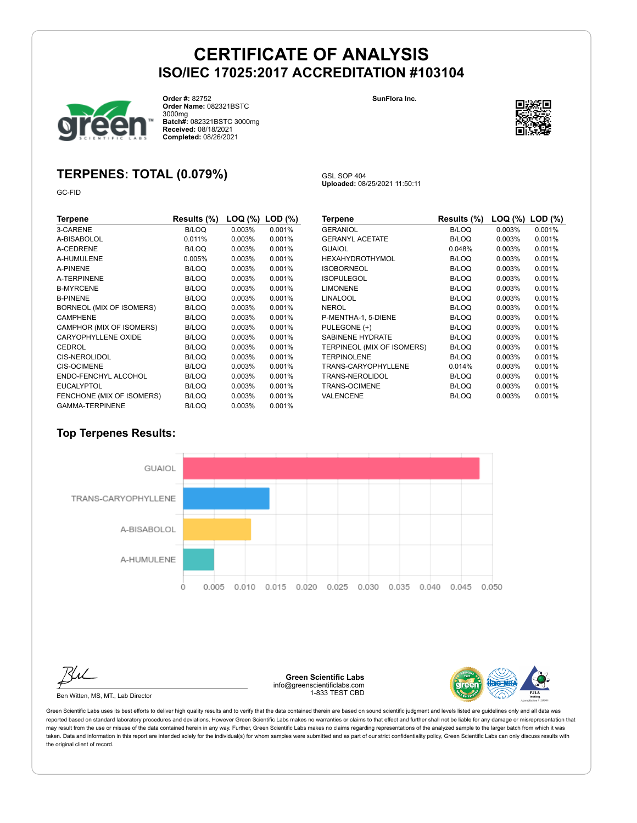GSL SOP 404

**Uploaded:** 08/25/2021 11:50:11



**Order #:** 82752 **Order Name:** 082321BSTC 3000mg **Batch#:** 082321BSTC 3000mg **Received:** 08/18/2021 **Completed:** 08/26/2021

#### **SunFlora Inc.**



## **TERPENES: TOTAL (0.079%)**

GC-FID

| Terpene                   | Results (%)  | LOQ (%)   | $LOD$ $(\%)$ |
|---------------------------|--------------|-----------|--------------|
| 3-CARENE                  | <b>B/LOQ</b> | 0.003%    | 0.001%       |
| A-BISABOLOL               | 0.011%       | $0.003\%$ | 0.001%       |
| A-CEDRENE                 | <b>B/LOQ</b> | 0.003%    | 0.001%       |
| A-HUMULENE                | 0.005%       | 0.003%    | 0.001%       |
| A-PINENE                  | B/LOQ        | 0.003%    | 0.001%       |
| <b>A-TERPINENE</b>        | <b>B/LOQ</b> | $0.003\%$ | 0.001%       |
| <b>B-MYRCENE</b>          | <b>B/LOQ</b> | 0.003%    | 0.001%       |
| <b>B-PINENE</b>           | B/LOQ        | 0.003%    | 0.001%       |
| BORNEOL (MIX OF ISOMERS)  | B/LOQ        | $0.003\%$ | 0.001%       |
| <b>CAMPHENE</b>           | B/LOQ        | 0.003%    | 0.001%       |
| CAMPHOR (MIX OF ISOMERS)  | B/LOQ        | 0.003%    | 0.001%       |
| CARYOPHYLLENE OXIDE       | <b>B/LOQ</b> | 0.003%    | 0.001%       |
| <b>CEDROL</b>             | B/LOQ        | 0.003%    | 0.001%       |
| <b>CIS-NEROLIDOL</b>      | B/LOQ        | 0.003%    | 0.001%       |
| <b>CIS-OCIMENE</b>        | B/LOQ        | $0.003\%$ | 0.001%       |
| ENDO-FENCHYL ALCOHOL      | B/LOQ        | 0.003%    | 0.001%       |
| <b>EUCALYPTOL</b>         | B/LOQ        | 0.003%    | 0.001%       |
| FENCHONE (MIX OF ISOMERS) | B/LOQ        | 0.003%    | 0.001%       |
| <b>GAMMA-TERPINENE</b>    | <b>B/LOQ</b> | 0.003%    | 0.001%       |

| Terpene                    | Results (%)  | LOQ (%) | $LOD$ $(\%)$ |
|----------------------------|--------------|---------|--------------|
| <b>GERANIOL</b>            | <b>B/LOQ</b> | 0.003%  | 0.001%       |
| <b>GERANYL ACETATE</b>     | B/LOQ        | 0.003%  | 0.001%       |
| <b>GUAIOL</b>              | 0.048%       | 0.003%  | 0.001%       |
| HEXAHYDROTHYMOL            | <b>B/LOQ</b> | 0.003%  | 0.001%       |
| <b>ISOBORNEOL</b>          | <b>B/LOQ</b> | 0.003%  | 0.001%       |
| <b>ISOPULEGOL</b>          | B/LOQ        | 0.003%  | 0.001%       |
| <b>LIMONENE</b>            | <b>B/LOQ</b> | 0.003%  | 0.001%       |
| LINALOOL                   | <b>B/LOQ</b> | 0.003%  | 0.001%       |
| NEROL                      | <b>B/LOQ</b> | 0.003%  | 0.001%       |
| P-MENTHA-1, 5-DIENE        | <b>B/LOQ</b> | 0.003%  | 0.001%       |
| PULEGONE (+)               | <b>B/LOQ</b> | 0.003%  | 0.001%       |
| SABINENE HYDRATE           | B/LOQ        | 0.003%  | 0.001%       |
| TERPINEOL (MIX OF ISOMERS) | B/LOQ        | 0.003%  | 0.001%       |
| <b>TERPINOLENE</b>         | B/LOQ        | 0.003%  | 0.001%       |
| TRANS-CARYOPHYLLENE        | 0.014%       | 0.003%  | 0.001%       |
| TRANS-NEROLIDOL            | <b>B/LOQ</b> | 0.003%  | 0.001%       |
| TRANS-OCIMENE              | B/LOQ        | 0.003%  | 0.001%       |
| VALENCENE                  | <b>B/LOQ</b> | 0.003%  | 0.001%       |

### **Top Terpenes Results:**



Ben Witten, MS, MT., Lab Director

**Green Scientific Labs** info@greenscientificlabs.com 1-833 TEST CBD

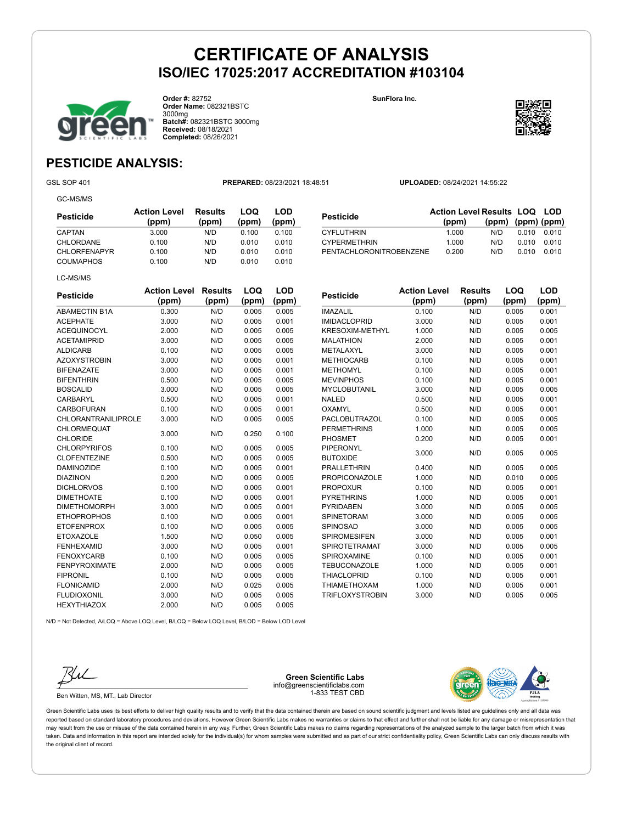**CYPERMETHRIN** 



**Order #:** 82752 **Order Name:** 082321BSTC 3000mg **Batch#:** 082321BSTC 3000mg **Received:** 08/18/2021 **Completed:** 08/26/2021

**SunFlora Inc.**



**(ppm) (ppm) (ppm)**

# **PESTICIDE ANALYSIS:**

GC-MS/MS

GSL SOP 401 **PREPARED:** 08/23/2021 18:48:51 **UPLOADED:** 08/24/2021 14:55:22

**Pesticide Action Level Results LOQ LOD (ppm)**

THE CYFLUTHRIN 1.000 N/D 0.010 0.010<br>
CYPERMETHRIN 1.000 N/D 0.010 0.010

PENTACHLORONITROBENZENE 0.200 N/D 0.010 0.010

| Pesticide           | <b>Action Level</b><br>(ppm) | Results<br>(ppm) | LOQ<br>(ppm) | LOD<br>(ppm) |
|---------------------|------------------------------|------------------|--------------|--------------|
| CAPTAN              | 3.000                        | N/D              | 0.100        | 0.100        |
| CHLORDANE           | 0.100                        | N/D              | 0.010        | 0.010        |
| <b>CHLORFENAPYR</b> | 0.100                        | N/D              | 0.010        | 0.010        |
| <b>COUMAPHOS</b>    | 0.100                        | N/D              | 0.010        | 0.010        |
| LC-MS/MS            |                              |                  |              |              |

| <b>Pesticide</b>                      | <b>Action Level</b><br>(ppm) | <b>Results</b><br>(ppm) | LOQ<br>(ppm) | <b>LOD</b><br>(ppm) |
|---------------------------------------|------------------------------|-------------------------|--------------|---------------------|
| <b>ABAMECTIN B1A</b>                  | 0.300                        | N/D                     | 0.005        | 0.005               |
| <b>ACEPHATE</b>                       | 3.000                        | N/D                     | 0.005        | 0.001               |
| <b>ACEQUINOCYL</b>                    | 2.000                        | N/D                     | 0.005        | 0.005               |
| <b>ACETAMIPRID</b>                    | 3.000                        | N/D                     | 0.005        | 0.005               |
| <b>ALDICARB</b>                       | 0.100                        | N/D                     | 0.005        | 0.005               |
| <b>AZOXYSTROBIN</b>                   | 3.000                        | N/D                     | 0.005        | 0.001               |
| <b>BIFENAZATE</b>                     | 3.000                        | N/D                     | 0.005        | 0.001               |
| <b>BIFENTHRIN</b>                     | 0.500                        | N/D                     | 0.005        | 0.005               |
| <b>BOSCALID</b>                       | 3.000                        | N/D                     | 0.005        | 0.005               |
| <b>CARBARYL</b>                       | 0.500                        | N/D                     | 0.005        | 0.001               |
| <b>CARBOFURAN</b>                     | 0.100                        | N/D                     | 0.005        | 0.001               |
| <b>CHLORANTRANILIPROLE</b>            | 3.000                        | N/D                     | 0.005        | 0.005               |
| <b>CHLORMEQUAT</b><br><b>CHLORIDE</b> | 3.000                        | N/D                     | 0.250        | 0.100               |
| <b>CHLORPYRIFOS</b>                   | 0.100                        | N/D                     | 0.005        | 0.005               |
| <b>CLOFENTEZINE</b>                   | 0.500                        | N/D                     | 0.005        | 0.005               |
| <b>DAMINOZIDE</b>                     | 0.100                        | N/D                     | 0.005        | 0.001               |
| <b>DIAZINON</b>                       | 0.200                        | N/D                     | 0.005        | 0.005               |
| <b>DICHLORVOS</b>                     | 0.100                        | N/D                     | 0.005        | 0.001               |
| <b>DIMETHOATE</b>                     | 0.100                        | N/D                     | 0.005        | 0.001               |
| <b>DIMETHOMORPH</b>                   | 3.000                        | N/D                     | 0.005        | 0.001               |
| <b>ETHOPROPHOS</b>                    | 0.100                        | N/D                     | 0.005        | 0.001               |
| <b>ETOFENPROX</b>                     | 0.100                        | N/D                     | 0.005        | 0.005               |
| <b>ETOXAZOLE</b>                      | 1.500                        | N/D                     | 0.050        | 0.005               |
| <b>FENHEXAMID</b>                     | 3.000                        | N/D                     | 0.005        | 0.001               |
| <b>FENOXYCARB</b>                     | 0.100                        | N/D                     | 0.005        | 0.005               |
| <b>FENPYROXIMATE</b>                  | 2.000                        | N/D                     | 0.005        | 0.005               |
| <b>FIPRONIL</b>                       | 0.100                        | N/D                     | 0.005        | 0.005               |
| <b>FLONICAMID</b>                     | 2.000                        | N/D                     | 0.025        | 0.005               |
| <b>FLUDIOXONIL</b>                    | 3.000                        | N/D                     | 0.005        | 0.005               |
| <b>HEXYTHIAZOX</b>                    | 2.000                        | N/D                     | 0.005        | 0.005               |

| <b>Pesticide</b>                    | <b>Action Level</b><br>(ppm) | <b>Results</b><br>(ppm) | LOQ<br>(ppm) | LOD<br>(ppm) |
|-------------------------------------|------------------------------|-------------------------|--------------|--------------|
| <b>IMAZALIL</b>                     | 0.100                        | N/D                     | 0.005        | 0.001        |
| <b>IMIDACLOPRID</b>                 | 3.000                        | N/D                     | 0.005        | 0.001        |
| <b>KRESOXIM-METHYL</b>              | 1.000                        | N/D                     | 0.005        | 0.005        |
| <b>MALATHION</b>                    | 2.000                        | N/D                     | 0.005        | 0.001        |
| METALAXYL                           | 3.000                        | N/D                     | 0.005        | 0.001        |
| <b>METHIOCARB</b>                   | 0.100                        | N/D                     | 0.005        | 0.001        |
| <b>METHOMYL</b>                     | 0.100                        | N/D                     | 0.005        | 0.001        |
| <b>MEVINPHOS</b>                    | 0.100                        | N/D                     | 0.005        | 0.001        |
| <b>MYCLOBUTANIL</b>                 | 3.000                        | N/D                     | 0.005        | 0.005        |
| <b>NALED</b>                        | 0.500                        | N/D                     | 0.005        | 0.001        |
| OXAMYL                              | 0.500                        | N/D                     | 0.005        | 0.001        |
| PACLOBUTRAZOL                       | 0.100                        | N/D                     | 0.005        | 0.005        |
| <b>PERMETHRINS</b>                  | 1.000                        | N/D                     | 0.005        | 0.005        |
| PHOSMET                             | 0.200                        | N/D                     | 0.005        | 0.001        |
| <b>PIPERONYL</b><br><b>BUTOXIDE</b> | 3.000                        | N/D                     | 0.005        | 0.005        |
| <b>PRALLETHRIN</b>                  | 0.400                        | N/D                     | 0.005        | 0.005        |
| <b>PROPICONAZOLE</b>                | 1.000                        | N/D                     | 0.010        | 0.005        |
| <b>PROPOXUR</b>                     | 0.100                        | N/D                     | 0.005        | 0.001        |
| <b>PYRETHRINS</b>                   | 1.000                        | N/D                     | 0.005        | 0.001        |
| <b>PYRIDABEN</b>                    | 3.000                        | N/D                     | 0.005        | 0.005        |
| <b>SPINETORAM</b>                   | 3.000                        | N/D                     | 0.005        | 0.005        |
| SPINOSAD                            | 3.000                        | N/D                     | 0.005        | 0.005        |
| <b>SPIROMESIFEN</b>                 | 3.000                        | N/D                     | 0.005        | 0.001        |
| <b>SPIROTETRAMAT</b>                | 3.000                        | N/D                     | 0.005        | 0.005        |
| SPIROXAMINE                         | 0.100                        | N/D                     | 0.005        | 0.001        |
| <b>TEBUCONAZOLE</b>                 | 1.000                        | N/D                     | 0.005        | 0.001        |
| <b>THIACLOPRID</b>                  | 0.100                        | N/D                     | 0.005        | 0.001        |
| <b>THIAMETHOXAM</b>                 | 1.000                        | N/D                     | 0.005        | 0.001        |
| <b>TRIFLOXYSTROBIN</b>              | 3.000                        | N/D                     | 0.005        | 0.005        |

N/D = Not Detected, A/LOQ = Above LOQ Level, B/LOQ = Below LOQ Level, B/LOD = Below LOD Level



Ben Witten, MS, MT., Lab Director

**Green Scientific Labs** info@greenscientificlabs.com 1-833 TEST CBD

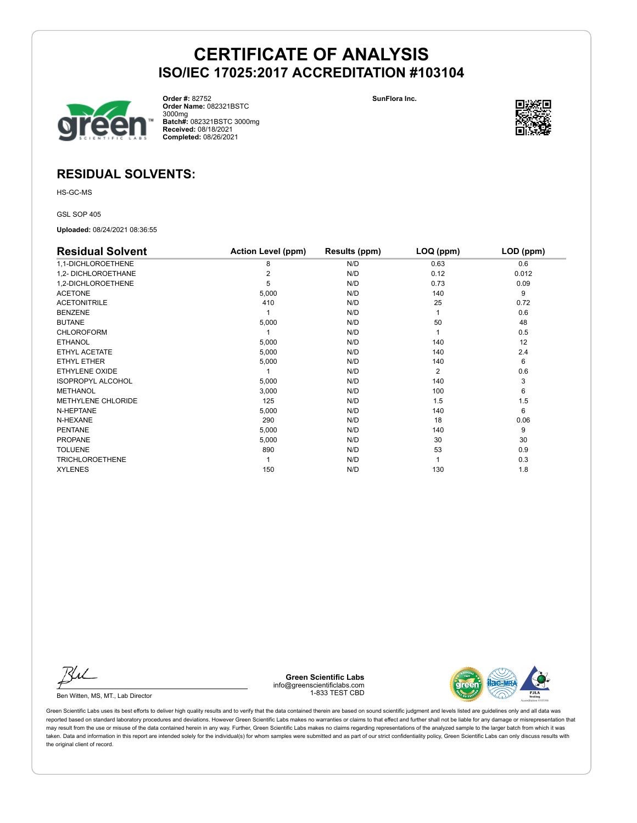

**Order #:** 82752 **Order Name:** 082321BSTC 3000mg **Batch#:** 082321BSTC 3000mg **Received:** 08/18/2021 **Completed:** 08/26/2021

**SunFlora Inc.**



## **RESIDUAL SOLVENTS:**

HS-GC-MS

GSL SOP 405

**Uploaded:** 08/24/2021 08:36:55

| <b>Residual Solvent</b>  | <b>Action Level (ppm)</b> | Results (ppm) | LOQ (ppm) | LOD (ppm) |
|--------------------------|---------------------------|---------------|-----------|-----------|
| 1,1-DICHLOROETHENE       | 8                         | N/D           | 0.63      | 0.6       |
| 1,2- DICHLOROETHANE      | 2                         | N/D           | 0.12      | 0.012     |
| 1,2-DICHLOROETHENE       | 5                         | N/D           | 0.73      | 0.09      |
| <b>ACETONE</b>           | 5,000                     | N/D           | 140       | 9         |
| <b>ACETONITRILE</b>      | 410                       | N/D           | 25        | 0.72      |
| <b>BENZENE</b>           |                           | N/D           |           | 0.6       |
| <b>BUTANE</b>            | 5,000                     | N/D           | 50        | 48        |
| <b>CHLOROFORM</b>        |                           | N/D           |           | 0.5       |
| <b>ETHANOL</b>           | 5,000                     | N/D           | 140       | 12        |
| ETHYL ACETATE            | 5,000                     | N/D           | 140       | 2.4       |
| ETHYL ETHER              | 5,000                     | N/D           | 140       | 6         |
| ETHYLENE OXIDE           |                           | N/D           | 2         | 0.6       |
| <b>ISOPROPYL ALCOHOL</b> | 5,000                     | N/D           | 140       | 3         |
| <b>METHANOL</b>          | 3,000                     | N/D           | 100       | 6         |
| METHYLENE CHLORIDE       | 125                       | N/D           | 1.5       | 1.5       |
| N-HEPTANE                | 5,000                     | N/D           | 140       | 6         |
| N-HEXANE                 | 290                       | N/D           | 18        | 0.06      |
| <b>PENTANE</b>           | 5,000                     | N/D           | 140       | 9         |
| <b>PROPANE</b>           | 5,000                     | N/D           | 30        | 30        |
| <b>TOLUENE</b>           | 890                       | N/D           | 53        | 0.9       |
| <b>TRICHLOROETHENE</b>   |                           | N/D           |           | 0.3       |
| <b>XYLENES</b>           | 150                       | N/D           | 130       | 1.8       |

Ku

Ben Witten, MS, MT., Lab Director

**Green Scientific Labs** info@greenscientificlabs.com 1-833 TEST CBD

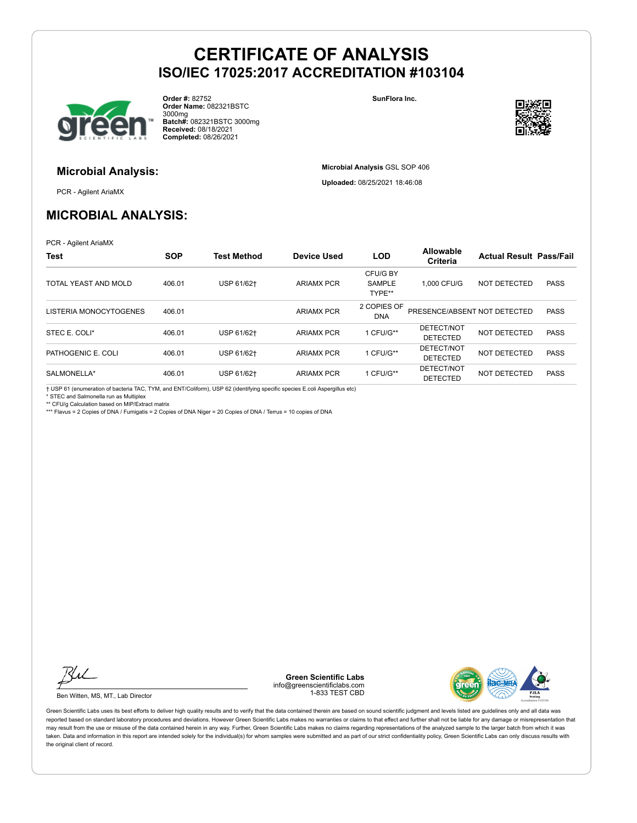

**Order #:** 82752 **Order Name:** 082321BSTC 3000mg **Batch#:** 082321BSTC 3000mg **Received:** 08/18/2021 **Completed:** 08/26/2021

**SunFlora Inc.**

**Microbial Analysis** GSL SOP 406 **Uploaded:** 08/25/2021 18:46:08



## **Microbial Analysis:**

PCR - Agilent AriaMX

## **MICROBIAL ANALYSIS:**

PCR - Agilent AriaMX

| <b>Test</b>            | <b>SOP</b> | <b>Test Method</b> | <b>Device Used</b> | <b>LOD</b>                          | Allowable<br><b>Criteria</b>  | <b>Actual Result Pass/Fail</b> |             |
|------------------------|------------|--------------------|--------------------|-------------------------------------|-------------------------------|--------------------------------|-------------|
| TOTAL YEAST AND MOLD   | 406.01     | USP 61/62+         | <b>ARIAMX PCR</b>  | CFU/G BY<br><b>SAMPLE</b><br>TYPE** | 1.000 CFU/G                   | <b>NOT DETECTED</b>            | <b>PASS</b> |
| LISTERIA MONOCYTOGENES | 406.01     |                    | <b>ARIAMX PCR</b>  | 2 COPIES OF<br><b>DNA</b>           | PRESENCE/ABSENT NOT DETECTED  |                                | <b>PASS</b> |
| STEC E. COLI*          | 406.01     | USP 61/62+         | <b>ARIAMX PCR</b>  | 1 CFU/G**                           | DETECT/NOT<br><b>DETECTED</b> | NOT DETECTED                   | <b>PASS</b> |
| PATHOGENIC E. COLI     | 406.01     | USP 61/62+         | <b>ARIAMX PCR</b>  | 1 CFU/G**                           | DETECT/NOT<br><b>DETECTED</b> | NOT DETECTED                   | <b>PASS</b> |
| SALMONELLA*            | 406.01     | USP 61/62+         | <b>ARIAMX PCR</b>  | 1 CFU/G**                           | DETECT/NOT<br><b>DETECTED</b> | NOT DETECTED                   | <b>PASS</b> |

† USP 61 (enumeration of bacteria TAC, TYM, and ENT/Coliform), USP 62 (identifying specific species E.coli Aspergillus etc)

\* STEC and Salmonella run as Multiplex

\*\* CFU/g Calculation based on MIP/Extract matrix

\*\*\* Flavus = 2 Copies of DNA / Fumigatis = 2 Copies of DNA Niger = 20 Copies of DNA / Terrus = 10 copies of DNA



Ben Witten, MS, MT., Lab Director

**Green Scientific Labs** info@greenscientificlabs.com 1-833 TEST CBD